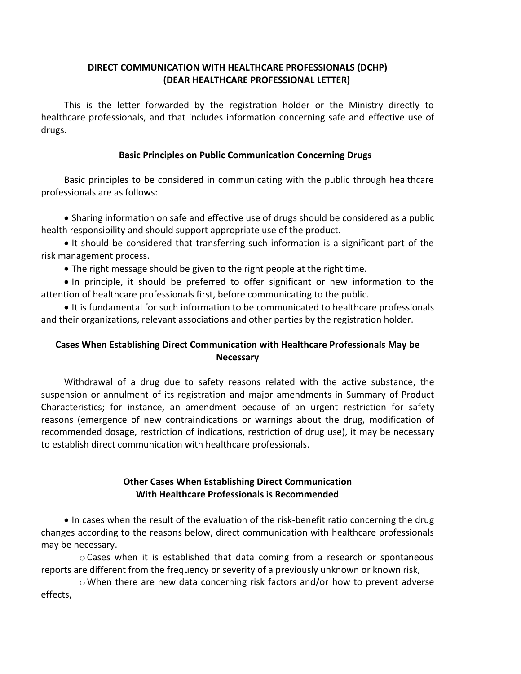# **DIRECT COMMUNICATION WITH HEALTHCARE PROFESSIONALS (DCHP) (DEAR HEALTHCARE PROFESSIONAL LETTER)**

This is the letter forwarded by the registration holder or the Ministry directly to healthcare professionals, and that includes information concerning safe and effective use of drugs.

# **Basic Principles on Public Communication Concerning Drugs**

Basic principles to be considered in communicating with the public through healthcare professionals are as follows:

• Sharing information on safe and effective use of drugs should be considered as a public health responsibility and should support appropriate use of the product.

• It should be considered that transferring such information is a significant part of the risk management process.

The right message should be given to the right people at the right time.

 In principle, it should be preferred to offer significant or new information to the attention of healthcare professionals first, before communicating to the public.

• It is fundamental for such information to be communicated to healthcare professionals and their organizations, relevant associations and other parties by the registration holder.

# **Cases When Establishing Direct Communication with Healthcare Professionals May be Necessary**

Withdrawal of a drug due to safety reasons related with the active substance, the suspension or annulment of its registration and major amendments in Summary of Product Characteristics; for instance, an amendment because of an urgent restriction for safety reasons (emergence of new contraindications or warnings about the drug, modification of recommended dosage, restriction of indications, restriction of drug use), it may be necessary to establish direct communication with healthcare professionals.

# **Other Cases When Establishing Direct Communication With Healthcare Professionals is Recommended**

• In cases when the result of the evaluation of the risk-benefit ratio concerning the drug changes according to the reasons below, direct communication with healthcare professionals may be necessary.

oCases when it is established that data coming from a research or spontaneous reports are different from the frequency or severity of a previously unknown or known risk,

o When there are new data concerning risk factors and/or how to prevent adverse effects,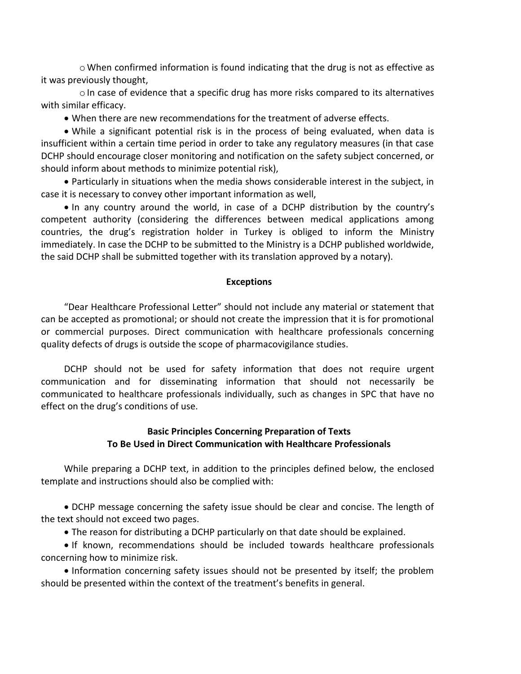$\circ$  When confirmed information is found indicating that the drug is not as effective as it was previously thought,

 $\circ$  In case of evidence that a specific drug has more risks compared to its alternatives with similar efficacy.

When there are new recommendations for the treatment of adverse effects.

 While a significant potential risk is in the process of being evaluated, when data is insufficient within a certain time period in order to take any regulatory measures (in that case DCHP should encourage closer monitoring and notification on the safety subject concerned, or should inform about methods to minimize potential risk),

 Particularly in situations when the media shows considerable interest in the subject, in case it is necessary to convey other important information as well,

 In any country around the world, in case of a DCHP distribution by the country's competent authority (considering the differences between medical applications among countries, the drug's registration holder in Turkey is obliged to inform the Ministry immediately. In case the DCHP to be submitted to the Ministry is a DCHP published worldwide, the said DCHP shall be submitted together with its translation approved by a notary).

#### **Exceptions**

"Dear Healthcare Professional Letter" should not include any material or statement that can be accepted as promotional; or should not create the impression that it is for promotional or commercial purposes. Direct communication with healthcare professionals concerning quality defects of drugs is outside the scope of pharmacovigilance studies.

DCHP should not be used for safety information that does not require urgent communication and for disseminating information that should not necessarily be communicated to healthcare professionals individually, such as changes in SPC that have no effect on the drug's conditions of use.

## **Basic Principles Concerning Preparation of Texts To Be Used in Direct Communication with Healthcare Professionals**

While preparing a DCHP text, in addition to the principles defined below, the enclosed template and instructions should also be complied with:

 DCHP message concerning the safety issue should be clear and concise. The length of the text should not exceed two pages.

The reason for distributing a DCHP particularly on that date should be explained.

• If known, recommendations should be included towards healthcare professionals concerning how to minimize risk.

 Information concerning safety issues should not be presented by itself; the problem should be presented within the context of the treatment's benefits in general.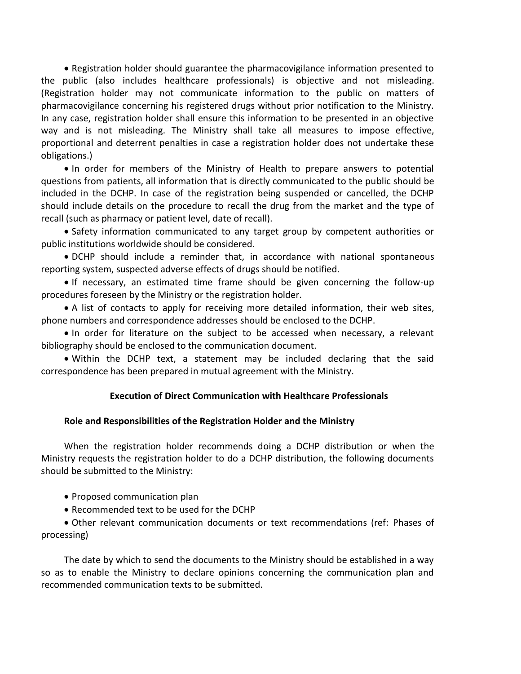Registration holder should guarantee the pharmacovigilance information presented to the public (also includes healthcare professionals) is objective and not misleading. (Registration holder may not communicate information to the public on matters of pharmacovigilance concerning his registered drugs without prior notification to the Ministry. In any case, registration holder shall ensure this information to be presented in an objective way and is not misleading. The Ministry shall take all measures to impose effective, proportional and deterrent penalties in case a registration holder does not undertake these obligations.)

• In order for members of the Ministry of Health to prepare answers to potential questions from patients, all information that is directly communicated to the public should be included in the DCHP. In case of the registration being suspended or cancelled, the DCHP should include details on the procedure to recall the drug from the market and the type of recall (such as pharmacy or patient level, date of recall).

 Safety information communicated to any target group by competent authorities or public institutions worldwide should be considered.

 DCHP should include a reminder that, in accordance with national spontaneous reporting system, suspected adverse effects of drugs should be notified.

 If necessary, an estimated time frame should be given concerning the follow-up procedures foreseen by the Ministry or the registration holder.

 A list of contacts to apply for receiving more detailed information, their web sites, phone numbers and correspondence addresses should be enclosed to the DCHP.

 In order for literature on the subject to be accessed when necessary, a relevant bibliography should be enclosed to the communication document.

 Within the DCHP text, a statement may be included declaring that the said correspondence has been prepared in mutual agreement with the Ministry.

### **Execution of Direct Communication with Healthcare Professionals**

#### **Role and Responsibilities of the Registration Holder and the Ministry**

When the registration holder recommends doing a DCHP distribution or when the Ministry requests the registration holder to do a DCHP distribution, the following documents should be submitted to the Ministry:

#### • Proposed communication plan

• Recommended text to be used for the DCHP

 Other relevant communication documents or text recommendations (ref: Phases of processing)

The date by which to send the documents to the Ministry should be established in a way so as to enable the Ministry to declare opinions concerning the communication plan and recommended communication texts to be submitted.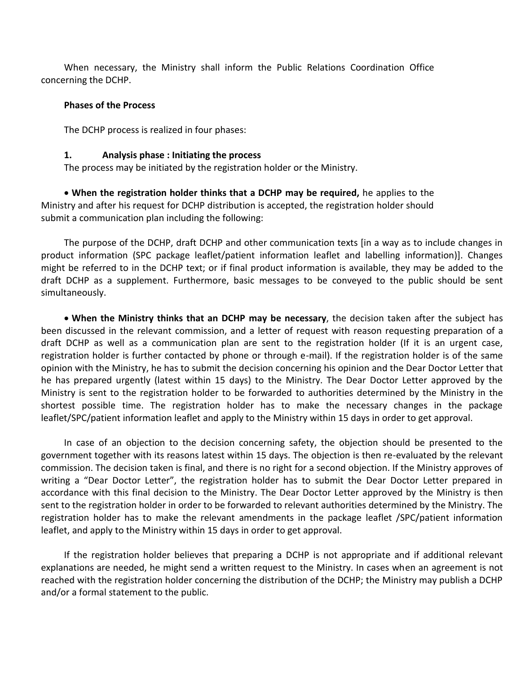When necessary, the Ministry shall inform the Public Relations Coordination Office concerning the DCHP.

### **Phases of the Process**

The DCHP process is realized in four phases:

### **1. Analysis phase : Initiating the process**

The process may be initiated by the registration holder or the Ministry.

 **When the registration holder thinks that a DCHP may be required,** he applies to the Ministry and after his request for DCHP distribution is accepted, the registration holder should submit a communication plan including the following:

The purpose of the DCHP, draft DCHP and other communication texts [in a way as to include changes in product information (SPC package leaflet/patient information leaflet and labelling information)]. Changes might be referred to in the DCHP text; or if final product information is available, they may be added to the draft DCHP as a supplement. Furthermore, basic messages to be conveyed to the public should be sent simultaneously.

 **When the Ministry thinks that an DCHP may be necessary**, the decision taken after the subject has been discussed in the relevant commission, and a letter of request with reason requesting preparation of a draft DCHP as well as a communication plan are sent to the registration holder (If it is an urgent case, registration holder is further contacted by phone or through e-mail). If the registration holder is of the same opinion with the Ministry, he has to submit the decision concerning his opinion and the Dear Doctor Letter that he has prepared urgently (latest within 15 days) to the Ministry. The Dear Doctor Letter approved by the Ministry is sent to the registration holder to be forwarded to authorities determined by the Ministry in the shortest possible time. The registration holder has to make the necessary changes in the package leaflet/SPC/patient information leaflet and apply to the Ministry within 15 days in order to get approval.

In case of an objection to the decision concerning safety, the objection should be presented to the government together with its reasons latest within 15 days. The objection is then re-evaluated by the relevant commission. The decision taken is final, and there is no right for a second objection. If the Ministry approves of writing a "Dear Doctor Letter", the registration holder has to submit the Dear Doctor Letter prepared in accordance with this final decision to the Ministry. The Dear Doctor Letter approved by the Ministry is then sent to the registration holder in order to be forwarded to relevant authorities determined by the Ministry. The registration holder has to make the relevant amendments in the package leaflet /SPC/patient information leaflet, and apply to the Ministry within 15 days in order to get approval.

If the registration holder believes that preparing a DCHP is not appropriate and if additional relevant explanations are needed, he might send a written request to the Ministry. In cases when an agreement is not reached with the registration holder concerning the distribution of the DCHP; the Ministry may publish a DCHP and/or a formal statement to the public.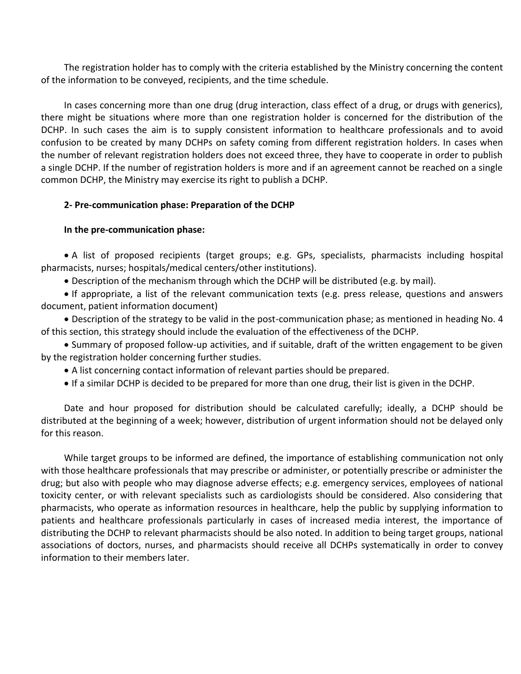The registration holder has to comply with the criteria established by the Ministry concerning the content of the information to be conveyed, recipients, and the time schedule.

In cases concerning more than one drug (drug interaction, class effect of a drug, or drugs with generics), there might be situations where more than one registration holder is concerned for the distribution of the DCHP. In such cases the aim is to supply consistent information to healthcare professionals and to avoid confusion to be created by many DCHPs on safety coming from different registration holders. In cases when the number of relevant registration holders does not exceed three, they have to cooperate in order to publish a single DCHP. If the number of registration holders is more and if an agreement cannot be reached on a single common DCHP, the Ministry may exercise its right to publish a DCHP.

# **2- Pre-communication phase: Preparation of the DCHP**

# **In the pre-communication phase:**

 A list of proposed recipients (target groups; e.g. GPs, specialists, pharmacists including hospital pharmacists, nurses; hospitals/medical centers/other institutions).

Description of the mechanism through which the DCHP will be distributed (e.g. by mail).

 If appropriate, a list of the relevant communication texts (e.g. press release, questions and answers document, patient information document)

 Description of the strategy to be valid in the post-communication phase; as mentioned in heading No. 4 of this section, this strategy should include the evaluation of the effectiveness of the DCHP.

• Summary of proposed follow-up activities, and if suitable, draft of the written engagement to be given by the registration holder concerning further studies.

- A list concerning contact information of relevant parties should be prepared.
- If a similar DCHP is decided to be prepared for more than one drug, their list is given in the DCHP.

Date and hour proposed for distribution should be calculated carefully; ideally, a DCHP should be distributed at the beginning of a week; however, distribution of urgent information should not be delayed only for this reason.

While target groups to be informed are defined, the importance of establishing communication not only with those healthcare professionals that may prescribe or administer, or potentially prescribe or administer the drug; but also with people who may diagnose adverse effects; e.g. emergency services, employees of national toxicity center, or with relevant specialists such as cardiologists should be considered. Also considering that pharmacists, who operate as information resources in healthcare, help the public by supplying information to patients and healthcare professionals particularly in cases of increased media interest, the importance of distributing the DCHP to relevant pharmacists should be also noted. In addition to being target groups, national associations of doctors, nurses, and pharmacists should receive all DCHPs systematically in order to convey information to their members later.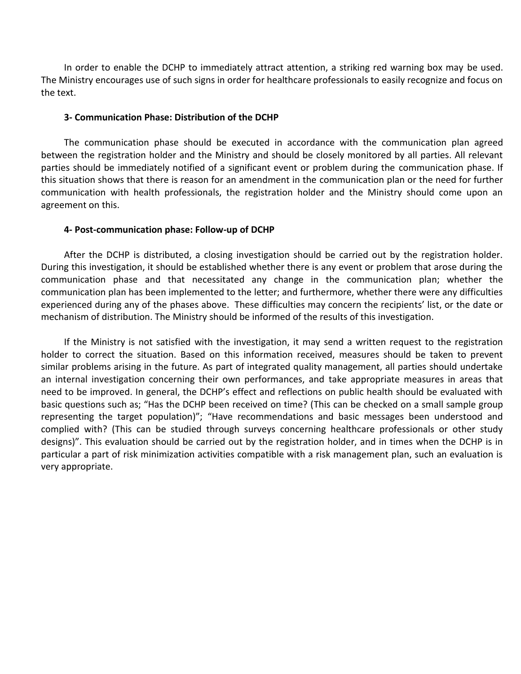In order to enable the DCHP to immediately attract attention, a striking red warning box may be used. The Ministry encourages use of such signs in order for healthcare professionals to easily recognize and focus on the text.

### **3- Communication Phase: Distribution of the DCHP**

The communication phase should be executed in accordance with the communication plan agreed between the registration holder and the Ministry and should be closely monitored by all parties. All relevant parties should be immediately notified of a significant event or problem during the communication phase. If this situation shows that there is reason for an amendment in the communication plan or the need for further communication with health professionals, the registration holder and the Ministry should come upon an agreement on this.

### **4- Post-communication phase: Follow-up of DCHP**

After the DCHP is distributed, a closing investigation should be carried out by the registration holder. During this investigation, it should be established whether there is any event or problem that arose during the communication phase and that necessitated any change in the communication plan; whether the communication plan has been implemented to the letter; and furthermore, whether there were any difficulties experienced during any of the phases above. These difficulties may concern the recipients' list, or the date or mechanism of distribution. The Ministry should be informed of the results of this investigation.

If the Ministry is not satisfied with the investigation, it may send a written request to the registration holder to correct the situation. Based on this information received, measures should be taken to prevent similar problems arising in the future. As part of integrated quality management, all parties should undertake an internal investigation concerning their own performances, and take appropriate measures in areas that need to be improved. In general, the DCHP's effect and reflections on public health should be evaluated with basic questions such as; "Has the DCHP been received on time? (This can be checked on a small sample group representing the target population)"; "Have recommendations and basic messages been understood and complied with? (This can be studied through surveys concerning healthcare professionals or other study designs)". This evaluation should be carried out by the registration holder, and in times when the DCHP is in particular a part of risk minimization activities compatible with a risk management plan, such an evaluation is very appropriate.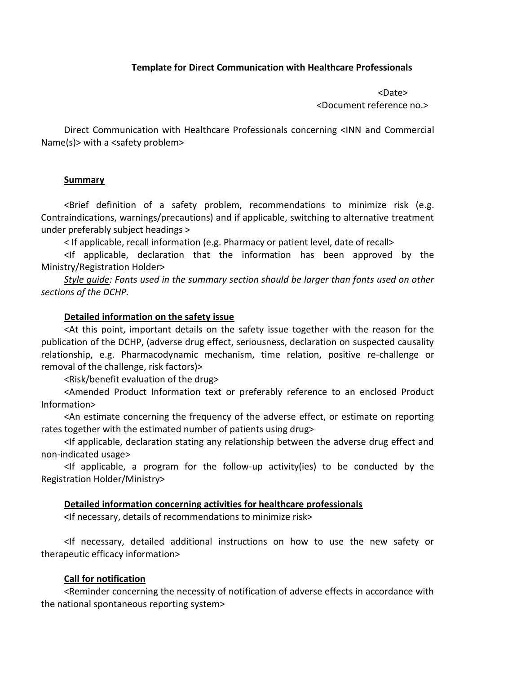## **Template for Direct Communication with Healthcare Professionals**

<Date>

<Document reference no.>

Direct Communication with Healthcare Professionals concerning <INN and Commercial Name(s)> with a <safety problem>

### **Summary**

<Brief definition of a safety problem, recommendations to minimize risk (e.g. Contraindications, warnings/precautions) and if applicable, switching to alternative treatment under preferably subject headings >

< If applicable, recall information (e.g. Pharmacy or patient level, date of recall>

<If applicable, declaration that the information has been approved by the Ministry/Registration Holder>

*Style guide: Fonts used in the summary section should be larger than fonts used on other sections of the DCHP.*

### **Detailed information on the safety issue**

<At this point, important details on the safety issue together with the reason for the publication of the DCHP, (adverse drug effect, seriousness, declaration on suspected causality relationship, e.g. Pharmacodynamic mechanism, time relation, positive re-challenge or removal of the challenge, risk factors)>

<Risk/benefit evaluation of the drug>

<Amended Product Information text or preferably reference to an enclosed Product Information>

<An estimate concerning the frequency of the adverse effect, or estimate on reporting rates together with the estimated number of patients using drug>

<If applicable, declaration stating any relationship between the adverse drug effect and non-indicated usage>

 $\leq$  applicable, a program for the follow-up activity(ies) to be conducted by the Registration Holder/Ministry>

### **Detailed information concerning activities for healthcare professionals**

<If necessary, details of recommendations to minimize risk>

<If necessary, detailed additional instructions on how to use the new safety or therapeutic efficacy information>

### **Call for notification**

<Reminder concerning the necessity of notification of adverse effects in accordance with the national spontaneous reporting system>